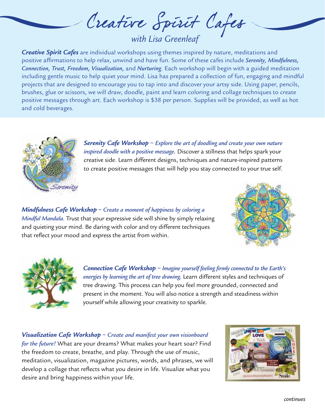Creature Spirit Cafes

*Creative Spirit Cafes* are individual workshops using themes inspired by nature, meditations and positive affirmations to help relax, unwind and have fun. Some of these cafes include *Serenity, Mindfulness, Connection, Trust, Freedom, Visualization,* and *Nurturing*. Each workshop will begin with a guided meditation including gentle music to help quiet your mind. Lisa has prepared a collection of fun, engaging and mindful projects that are designed to encourage you to tap into and discover your artsy side. Using paper, pencils, brushes, glue or scissors, we will draw, doodle, paint and learn coloring and collage techniques to create positive messages through art. Each workshop is \$38 per person. Supplies will be provided, as well as hot and cold beverages.



*Serenity Cafe Workshop* ~ *Explore the art of doodling and create your own nature inspired doodle with a positive message.* Discover a stillness that helps spark your creative side. Learn different designs, techniques and nature-inspired patterns to create positive messages that will help you stay connected to your true self.

*Mindfulness Cafe Workshop* ~ *Create a moment of happiness by coloring a Mindful Mandala.* Trust that your expressive side will shine by simply relaxing and quieting your mind. Be daring with color and try different techniques that reflect your mood and express the artist from within.





*Connection Cafe Workshop* ~ *Imagine yourself feeling firmly connected to the Earth's energies by learning the art of tree drawing.* Learn different styles and techniques of tree drawing. This process can help you feel more grounded, connected and present in the moment. You will also notice a strength and steadiness within yourself while allowing your creativity to sparkle.

*Visualization Cafe Workshop* ~ *Create and manifest your own visionboard for the future!* What are your dreams? What makes your heart soar? Find the freedom to create, breathe, and play. Through the use of music, meditation, visualization, magazine pictures, words, and phrases, we will develop a collage that reflects what you desire in life. Visualize what you desire and bring happiness within your life.